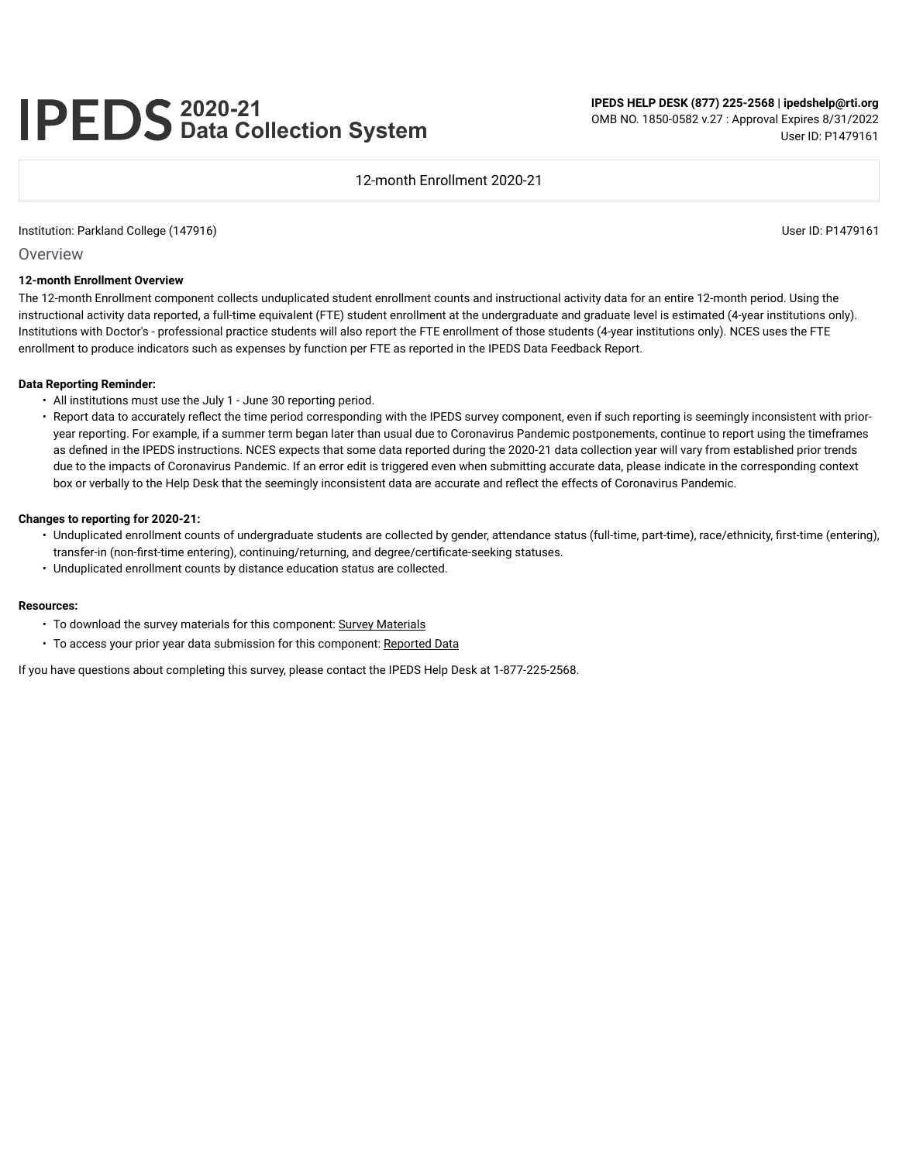# **2020-21 Data Collection System**

**IPEDS HELP DESK (877) 225-2568 | ipedshelp@rti.org** OMB NO. 1850-0582 v.27 : Approval Expires 8/31/2022 User ID: P1479161

12-month Enrollment 2020-21

#### Institution: Parkland College (147916) User ID: P1479161

**Overview** 

#### **12-month Enrollment Overview**

The 12-month Enrollment component collects unduplicated student enrollment counts and instructional activity data for an entire 12-month period. Using the instructional activity data reported, a full-time equivalent (FTE) student enrollment at the undergraduate and graduate level is estimated (4-year institutions only). Institutions with Doctor's - professional practice students will also report the FTE enrollment of those students (4-year institutions only). NCES uses the FTE enrollment to produce indicators such as expenses by function per FTE as reported in the IPEDS Data Feedback Report.

#### **Data Reporting Reminder:**

- All institutions must use the July 1 June 30 reporting period.
- Report data to accurately reflect the time period corresponding with the IPEDS survey component, even if such reporting is seemingly inconsistent with prioryear reporting. For example, if a summer term began later than usual due to Coronavirus Pandemic postponements, continue to report using the timeframes as defined in the IPEDS instructions. NCES expects that some data reported during the 2020-21 data collection year will vary from established prior trends due to the impacts of Coronavirus Pandemic. If an error edit is triggered even when submitting accurate data, please indicate in the corresponding context box or verbally to the Help Desk that the seemingly inconsistent data are accurate and reflect the effects of Coronavirus Pandemic.

#### **Changes to reporting for 2020-21:**

- Unduplicated enrollment counts of undergraduate students are collected by gender, attendance status (full-time, part-time), race/ethnicity, first-time (entering), transfer-in (non-first-time entering), continuing/returning, and degree/certificate-seeking statuses.
- Unduplicated enrollment counts by distance education status are collected.

#### **Resources:**

- To download the survey materials for this component: Survey Materials
- To access your prior year data submission for this component: Reported Data

If you have questions about completing this survey, please contact the IPEDS Help Desk at 1-877-225-2568.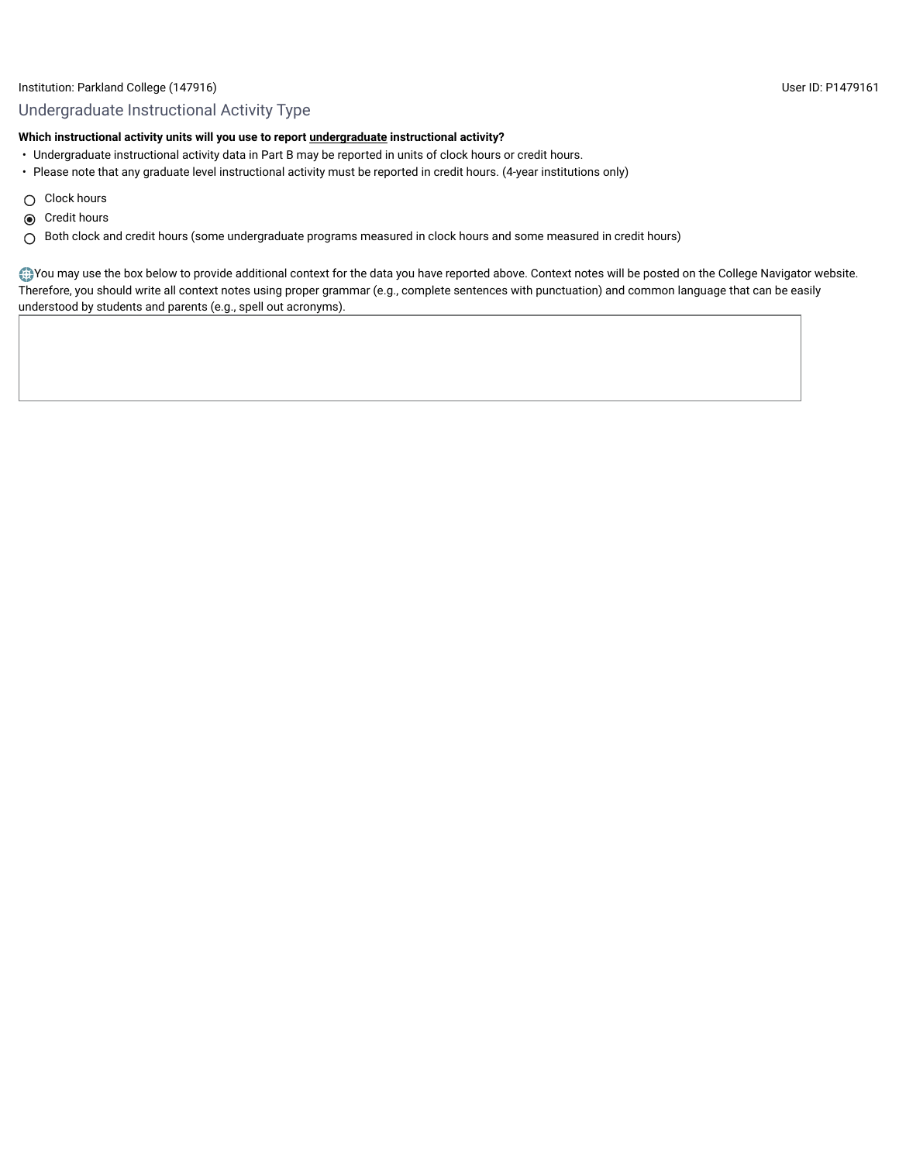# Institution: Parkland College (147916) User ID: P1479161

# Undergraduate Instructional Activity Type

# **Which instructional activity units will you use to report undergraduate instructional activity?**

- Undergraduate instructional activity data in Part B may be reported in units of clock hours or credit hours.
- Please note that any graduate level instructional activity must be reported in credit hours. (4-year institutions only)
- $\bigcirc$  Clock hours
- **◎** Credit hours
- Both clock and credit hours (some undergraduate programs measured in clock hours and some measured in credit hours)

You may use the box below to provide additional context for the data you have reported above. Context notes will be posted on the College Navigator website. Therefore, you should write all context notes using proper grammar (e.g., complete sentences with punctuation) and common language that can be easily understood by students and parents (e.g., spell out acronyms).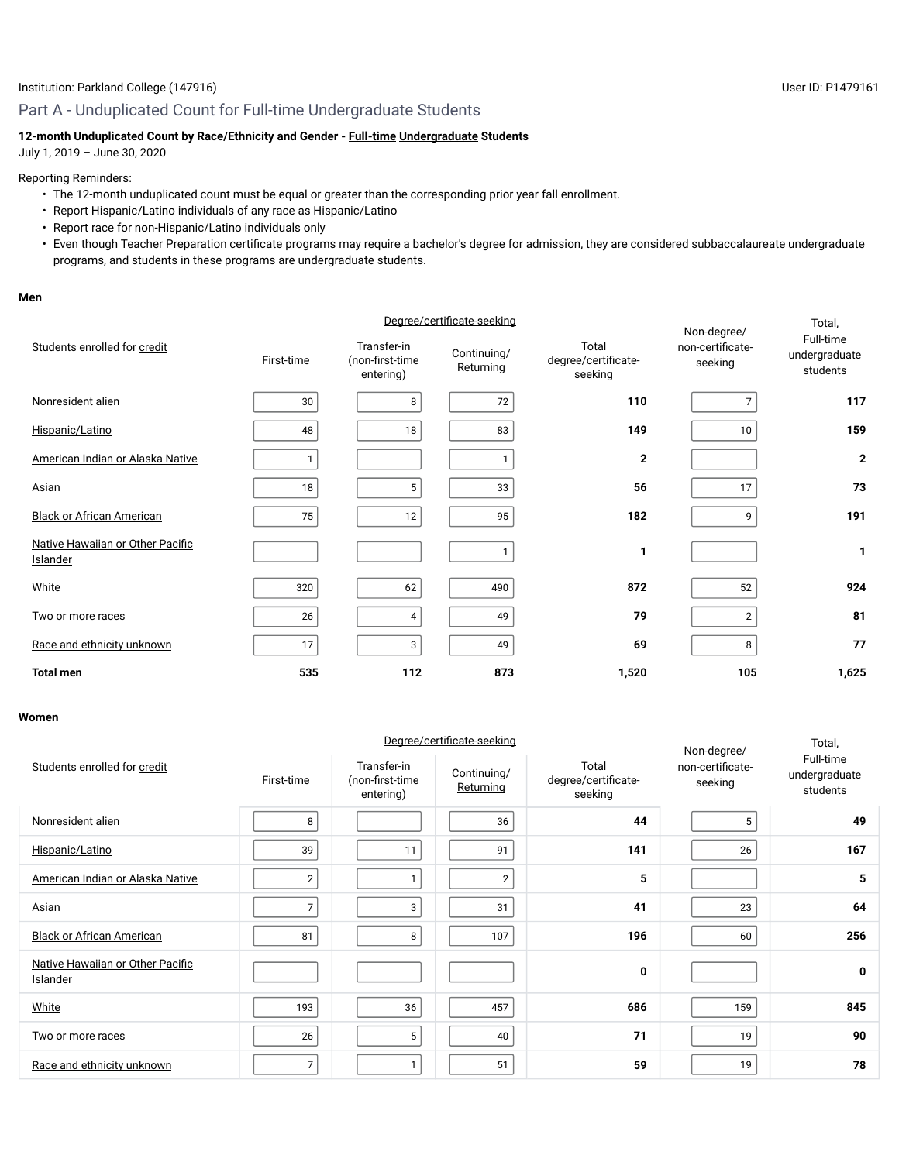# **12-month Unduplicated Count by Race/Ethnicity and Gender - Full-time Undergraduate Students**

July 1, 2019 – June 30, 2020

#### Reporting Reminders:

- The 12-month unduplicated count must be equal or greater than the corresponding prior year fall enrollment.
- Report Hispanic/Latino individuals of any race as Hispanic/Latino
- Report race for non-Hispanic/Latino individuals only
- Even though Teacher Preparation certificate programs may require a bachelor's degree for admission, they are considered subbaccalaureate undergraduate programs, and students in these programs are undergraduate students.

#### **Men**

|                                                     | Degree/certificate-seeking |                                             |                          |                                         | Non-degree/                 | Total,                                 |
|-----------------------------------------------------|----------------------------|---------------------------------------------|--------------------------|-----------------------------------------|-----------------------------|----------------------------------------|
| Students enrolled for credit                        | First-time                 | Transfer-in<br>(non-first-time<br>entering) | Continuing/<br>Returning | Total<br>degree/certificate-<br>seeking | non-certificate-<br>seeking | Full-time<br>undergraduate<br>students |
| Nonresident alien                                   | 30                         | 8                                           | 72                       | 110                                     |                             | 117                                    |
| Hispanic/Latino                                     | 48                         | 18                                          | 83                       | 149                                     | 10                          | 159                                    |
| American Indian or Alaska Native                    | 1                          |                                             |                          | $\mathbf{2}$                            |                             | $\mathbf{2}$                           |
| <u>Asian</u>                                        | 18                         | 5                                           | 33                       | 56                                      | 17                          | 73                                     |
| <b>Black or African American</b>                    | 75                         | 12                                          | 95                       | 182                                     | 9                           | 191                                    |
| Native Hawaiian or Other Pacific<br><b>Islander</b> |                            |                                             |                          | 1                                       |                             | 1                                      |
| White                                               | 320                        | 62                                          | 490                      | 872                                     | 52                          | 924                                    |
| Two or more races                                   | 26                         | 4                                           | 49                       | 79                                      | $\overline{2}$              | 81                                     |
| Race and ethnicity unknown                          | 17                         | 3                                           | 49                       | 69                                      | 8                           | 77                                     |
| <b>Total men</b>                                    | 535                        | 112                                         | 873                      | 1,520                                   | 105                         | 1,625                                  |

#### **Women**

| Students enrolled for credit                 | First-time     | Transfer-in<br>(non-first-time<br>entering) | Degree/certificate-seeking<br>Continuing/<br>Returning | Total<br>degree/certificate-<br>seeking | Non-degree/<br>non-certificate-<br>seeking | Total,<br>Full-time<br>undergraduate<br>students |
|----------------------------------------------|----------------|---------------------------------------------|--------------------------------------------------------|-----------------------------------------|--------------------------------------------|--------------------------------------------------|
| Nonresident alien                            | 8              |                                             | 36                                                     | 44                                      | 5                                          | 49                                               |
| Hispanic/Latino                              | 39             | 11                                          | 91                                                     | 141                                     | 26                                         | 167                                              |
| American Indian or Alaska Native             | $\overline{2}$ | $\mathbf{I}$                                | $\overline{2}$                                         | 5                                       |                                            | 5                                                |
| Asian                                        | $\overline{7}$ | 3                                           | 31                                                     | 41                                      | 23                                         | 64                                               |
| <b>Black or African American</b>             | 81             | 8                                           | 107                                                    | 196                                     | 60                                         | 256                                              |
| Native Hawaiian or Other Pacific<br>Islander |                |                                             |                                                        | 0                                       |                                            | 0                                                |
| White                                        | 193            | 36                                          | 457                                                    | 686                                     | 159                                        | 845                                              |
| Two or more races                            | 26             | 5                                           | 40                                                     | 71                                      | 19                                         | 90                                               |
| Race and ethnicity unknown                   | $\overline{7}$ | $\mathbf{I}$                                | 51                                                     | 59                                      | 19                                         | 78                                               |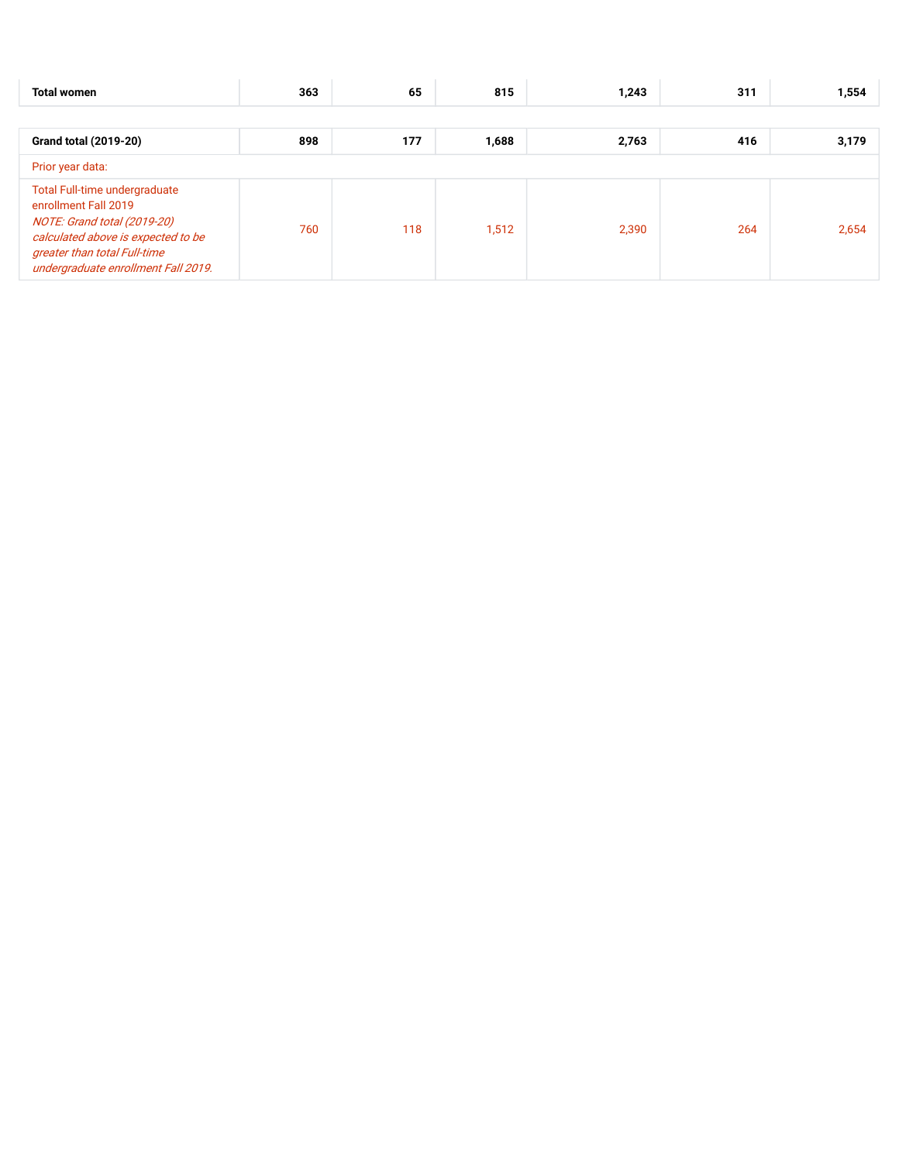| <b>Total women</b>                                                                                                                                                                                | 363 | 65  | 815   | 1,243 | 311 | 1,554 |  |
|---------------------------------------------------------------------------------------------------------------------------------------------------------------------------------------------------|-----|-----|-------|-------|-----|-------|--|
|                                                                                                                                                                                                   |     |     |       |       |     |       |  |
| <b>Grand total (2019-20)</b>                                                                                                                                                                      | 898 | 177 | 1,688 | 2,763 | 416 | 3,179 |  |
| Prior year data:                                                                                                                                                                                  |     |     |       |       |     |       |  |
| Total Full-time undergraduate<br>enrollment Fall 2019<br>NOTE: Grand total (2019-20)<br>calculated above is expected to be<br>greater than total Full-time<br>undergraduate enrollment Fall 2019. | 760 | 118 | 1,512 | 2,390 | 264 | 2,654 |  |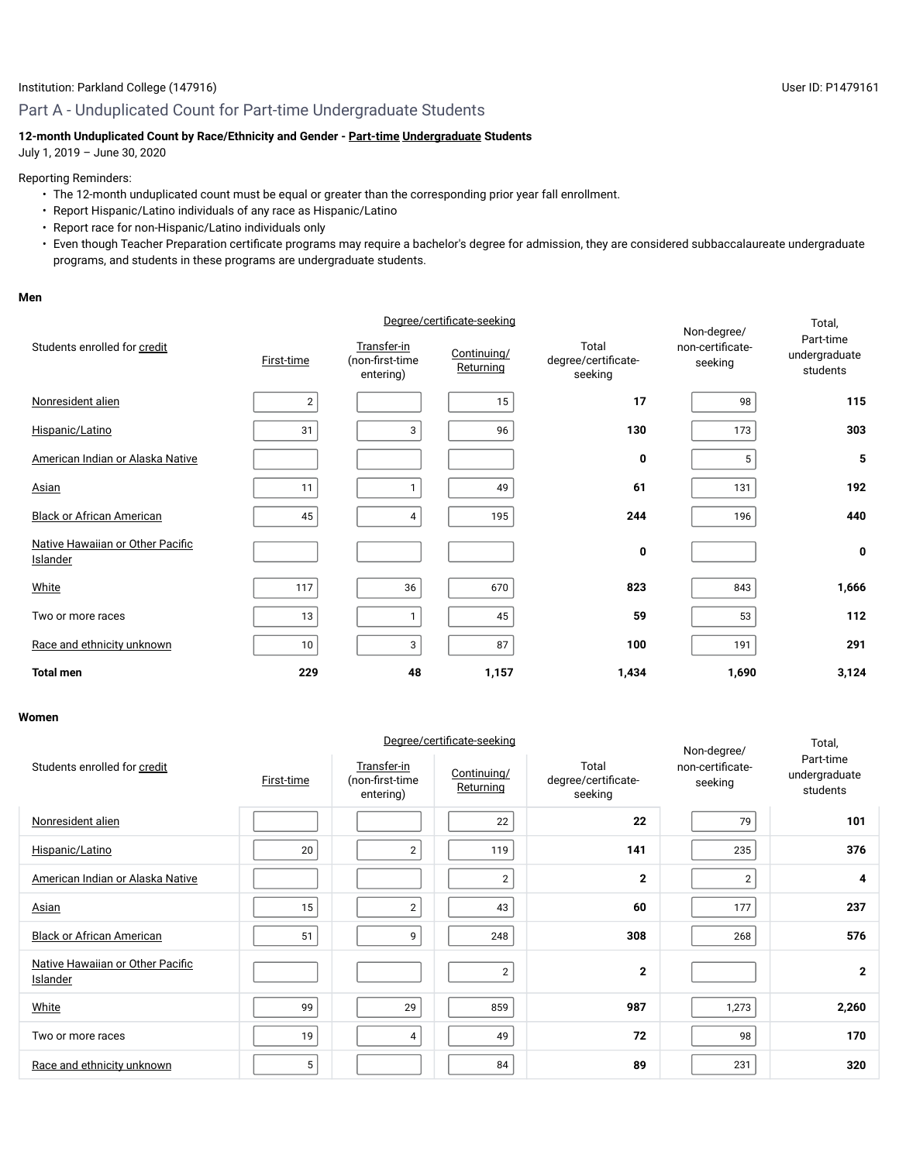# Part A - Unduplicated Count for Part-time Undergraduate Students

# **12-month Unduplicated Count by Race/Ethnicity and Gender - Part-time Undergraduate Students**

July 1, 2019 – June 30, 2020

#### Reporting Reminders:

- The 12-month unduplicated count must be equal or greater than the corresponding prior year fall enrollment.
- Report Hispanic/Latino individuals of any race as Hispanic/Latino
- Report race for non-Hispanic/Latino individuals only
- Even though Teacher Preparation certificate programs may require a bachelor's degree for admission, they are considered subbaccalaureate undergraduate programs, and students in these programs are undergraduate students.

#### **Men**

|                                                     | Degree/certificate-seeking |                                             |                          |                                         | Non-degree/                 | Total,                                 |
|-----------------------------------------------------|----------------------------|---------------------------------------------|--------------------------|-----------------------------------------|-----------------------------|----------------------------------------|
| Students enrolled for credit                        | First-time                 | Transfer-in<br>(non-first-time<br>entering) | Continuing/<br>Returning | Total<br>degree/certificate-<br>seeking | non-certificate-<br>seeking | Part-time<br>undergraduate<br>students |
| Nonresident alien                                   | $\overline{2}$             |                                             | 15                       | 17                                      | 98                          | 115                                    |
| Hispanic/Latino                                     | 31                         | 3                                           | 96                       | 130                                     | 173                         | 303                                    |
| American Indian or Alaska Native                    |                            |                                             |                          | 0                                       | 5                           | 5                                      |
| <b>Asian</b>                                        | 11                         |                                             | 49                       | 61                                      | 131                         | 192                                    |
| <b>Black or African American</b>                    | 45                         | 4                                           | 195                      | 244                                     | 196                         | 440                                    |
| Native Hawaiian or Other Pacific<br><b>Islander</b> |                            |                                             |                          | 0                                       |                             | 0                                      |
| White                                               | 117                        | 36                                          | 670                      | 823                                     | 843                         | 1,666                                  |
| Two or more races                                   | 13                         |                                             | 45                       | 59                                      | 53                          | 112                                    |
| Race and ethnicity unknown                          | 10                         | 3                                           | 87                       | 100                                     | 191                         | 291                                    |
| <b>Total men</b>                                    | 229                        | 48                                          | 1,157                    | 1,434                                   | 1,690                       | 3,124                                  |

#### **Women**

| Students enrolled for credit                 | First-time | Transfer-in<br>(non-first-time<br>entering) | Degree/certificate-seeking<br>Continuing/<br>Returning | Total<br>degree/certificate-<br>seeking | Non-degree/<br>non-certificate-<br>seeking | Total,<br>Part-time<br>undergraduate<br>students |
|----------------------------------------------|------------|---------------------------------------------|--------------------------------------------------------|-----------------------------------------|--------------------------------------------|--------------------------------------------------|
| Nonresident alien                            |            |                                             | 22                                                     | 22                                      | 79                                         | 101                                              |
| Hispanic/Latino                              | 20         | 2                                           | 119                                                    | 141                                     | 235                                        | 376                                              |
| American Indian or Alaska Native             |            |                                             | $\overline{2}$                                         | $\mathbf{2}$                            | $\overline{2}$                             | 4                                                |
| Asian                                        | 15         | $\overline{2}$                              | 43                                                     | 60                                      | 177                                        | 237                                              |
| <b>Black or African American</b>             | 51         | 9                                           | 248                                                    | 308                                     | 268                                        | 576                                              |
| Native Hawaiian or Other Pacific<br>Islander |            |                                             | $\overline{2}$                                         | $\mathbf{2}$                            |                                            | $\overline{2}$                                   |
| White                                        | 99         | 29                                          | 859                                                    | 987                                     | 1,273                                      | 2,260                                            |
| Two or more races                            | 19         | 4                                           | 49                                                     | 72                                      | 98                                         | 170                                              |
| Race and ethnicity unknown                   | 5          |                                             | 84                                                     | 89                                      | 231                                        | 320                                              |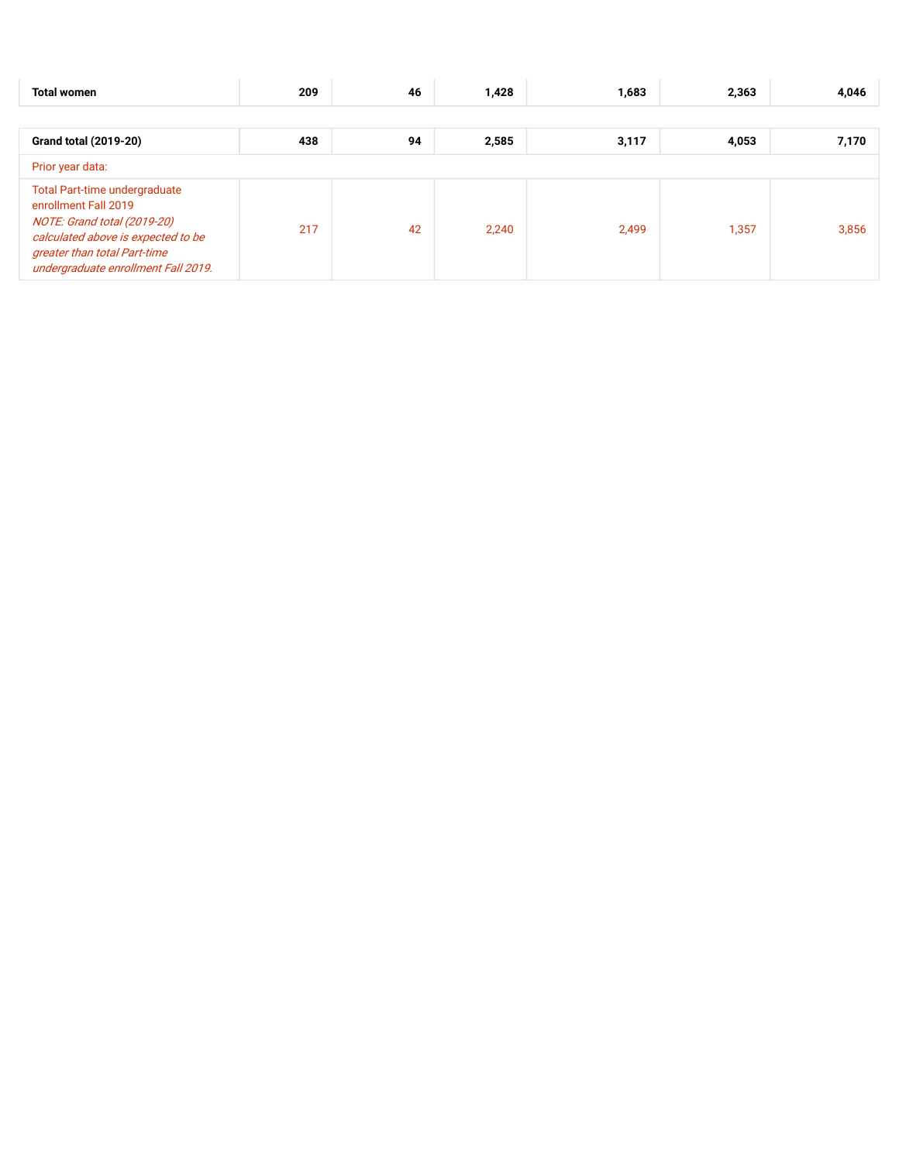| <b>Total women</b>                                                                                                                                                                                       | 209 | 46 | 1,428 | 1,683 | 2,363 | 4,046 |  |
|----------------------------------------------------------------------------------------------------------------------------------------------------------------------------------------------------------|-----|----|-------|-------|-------|-------|--|
|                                                                                                                                                                                                          |     |    |       |       |       |       |  |
| <b>Grand total (2019-20)</b>                                                                                                                                                                             | 438 | 94 | 2,585 | 3,117 | 4,053 | 7,170 |  |
| Prior year data:                                                                                                                                                                                         |     |    |       |       |       |       |  |
| <b>Total Part-time undergraduate</b><br>enrollment Fall 2019<br>NOTE: Grand total (2019-20)<br>calculated above is expected to be<br>greater than total Part-time<br>undergraduate enrollment Fall 2019. | 217 | 42 | 2,240 | 2,499 | 1,357 | 3,856 |  |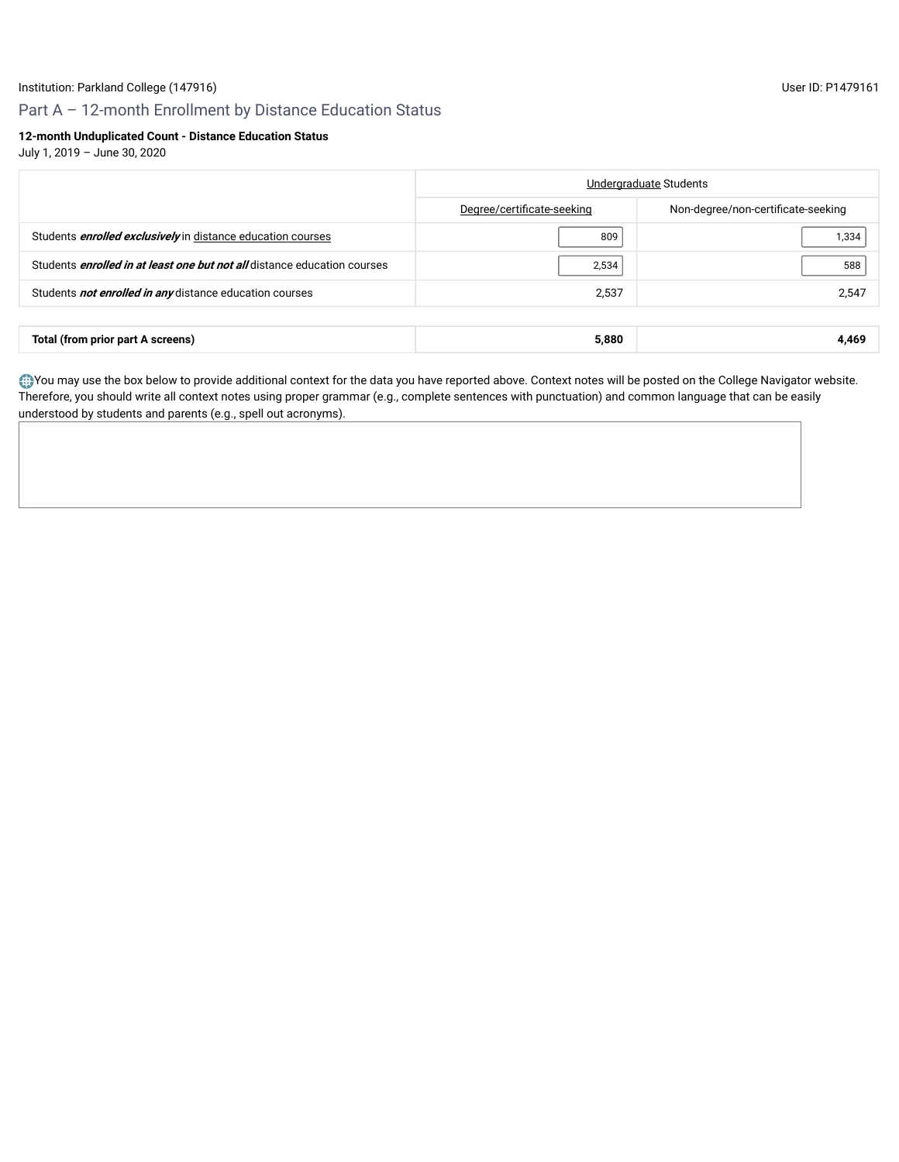# Part A – 12-month Enrollment by Distance Education Status

# **12-month Unduplicated Count - Distance Education Status**

July 1, 2019 – June 30, 2020

|                                                                                 | Undergraduate Students     |                                    |  |
|---------------------------------------------------------------------------------|----------------------------|------------------------------------|--|
|                                                                                 | Degree/certificate-seeking | Non-degree/non-certificate-seeking |  |
| Students <b>enrolled exclusively</b> in distance education courses              | 809                        | 1,334                              |  |
| Students <i>enrolled in at least one but not all</i> distance education courses | 2,534                      | 588                                |  |
| Students not enrolled in any distance education courses                         | 2,537                      | 2,547                              |  |
|                                                                                 |                            |                                    |  |
| Total (from prior part A screens)                                               | 5,880                      | 4,469                              |  |

You may use the box below to provide additional context for the data you have reported above. Context notes will be posted on the College Navigator website. Therefore, you should write all context notes using proper grammar (e.g., complete sentences with punctuation) and common language that can be easily understood by students and parents (e.g., spell out acronyms).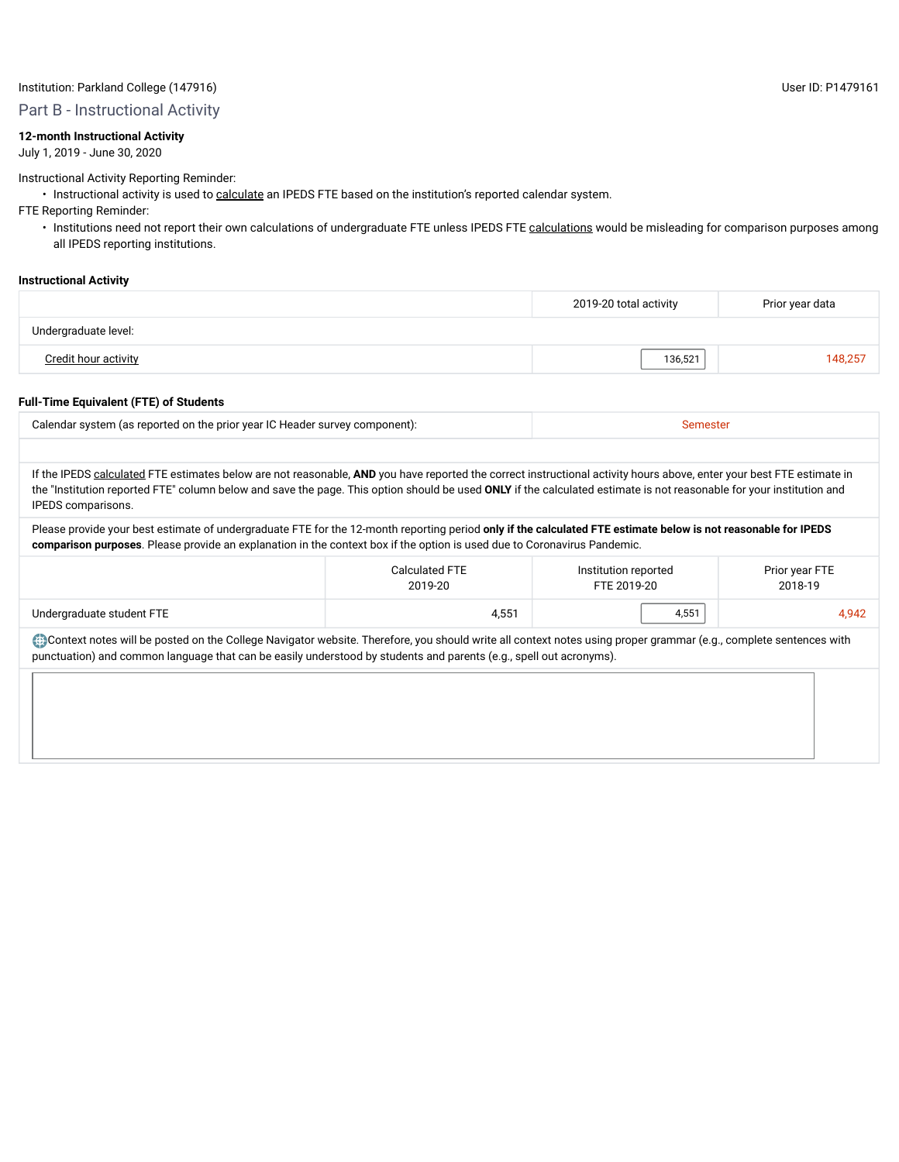### Institution: Parkland College (147916) User ID: P1479161

Part B - Instructional Activity

# **12-month Instructional Activity**

July 1, 2019 - June 30, 2020

Instructional Activity Reporting Reminder:

• Instructional activity is used to calculate an IPEDS FTE based on the institution's reported calendar system.

FTE Reporting Reminder:

• Institutions need not report their own calculations of undergraduate FTE unless IPEDS FTE calculations would be misleading for comparison purposes among all IPEDS reporting institutions.

#### **Instructional Activity**

|                      | 2019-20 total activity | Prior year data |
|----------------------|------------------------|-----------------|
| Undergraduate level: |                        |                 |
| Credit hour activity | 136,521                | 148,257         |

#### **Full-Time Equivalent (FTE) of Students**

| Calendar system (as reported on the prior year IC Header survey component): |  |
|-----------------------------------------------------------------------------|--|
|                                                                             |  |

If the IPEDS calculated FTE estimates below are not reasonable, AND you have reported the correct instructional activity hours above, enter your best FTE estimate in the "Institution reported FTE" column below and save the page. This option should be used **ONLY** if the calculated estimate is not reasonable for your institution and IPEDS comparisons.

Please provide your best estimate of undergraduate FTE for the 12-month reporting period **only if the calculated FTE estimate below is not reasonable for IPEDS comparison purposes**. Please provide an explanation in the context box if the option is used due to Coronavirus Pandemic.

|                           | Calculated FTE | Institution reported | Prior year FTE |  |
|---------------------------|----------------|----------------------|----------------|--|
|                           | 2019-20        | FTE 2019-20          | 2018-19        |  |
| Undergraduate student FTE | 4,551          | 4,551                | 4,942          |  |

Context notes will be posted on the College Navigator website. Therefore, you should write all context notes using proper grammar (e.g., complete sentences with punctuation) and common language that can be easily understood by students and parents (e.g., spell out acronyms).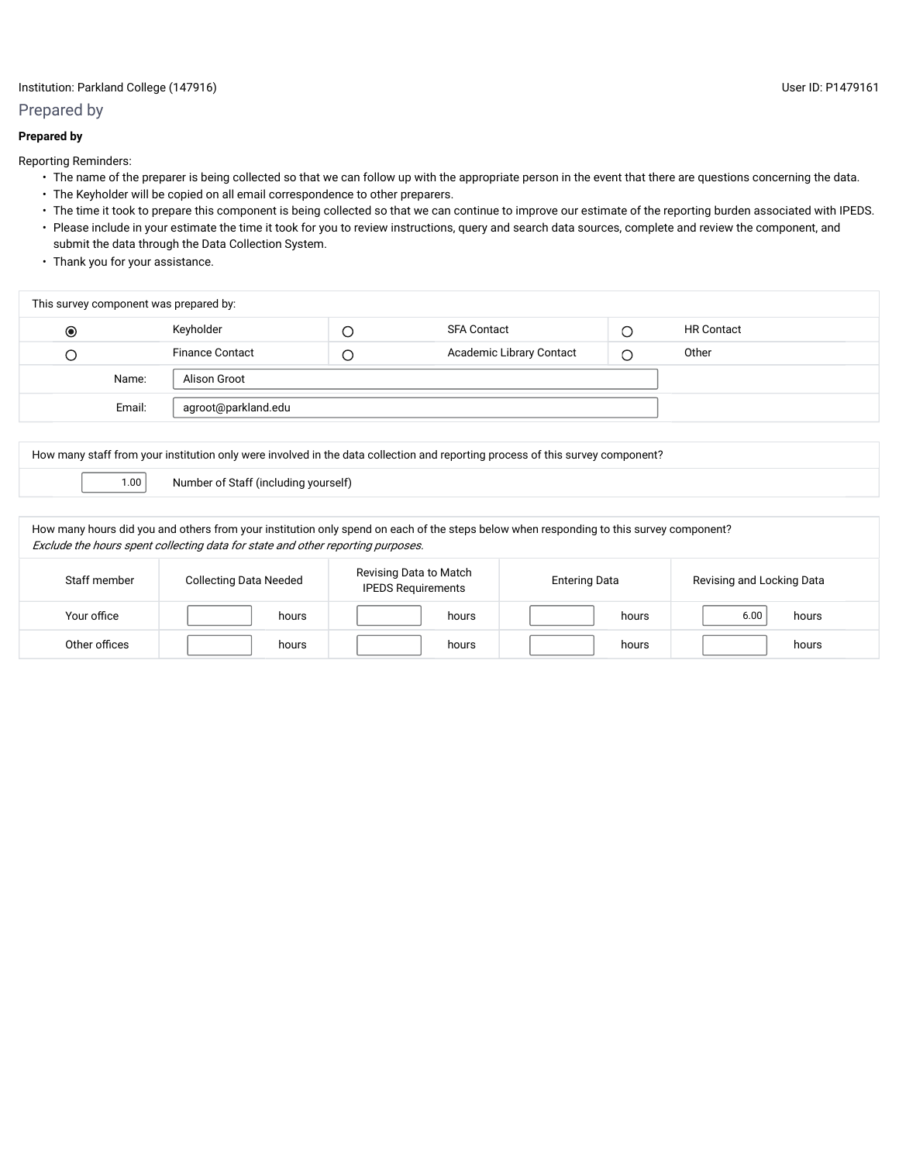# Institution: Parkland College (147916) User ID: P1479161

#### Prepared by

### **Prepared by**

Reporting Reminders:

- The name of the preparer is being collected so that we can follow up with the appropriate person in the event that there are questions concerning the data.
- The Keyholder will be copied on all email correspondence to other preparers.
- The time it took to prepare this component is being collected so that we can continue to improve our estimate of the reporting burden associated with IPEDS. • Please include in your estimate the time it took for you to review instructions, query and search data sources, complete and review the component, and submit the data through the Data Collection System.
- Thank you for your assistance.

| This survey component was prepared by: |        |                        |   |                                 |  |                   |
|----------------------------------------|--------|------------------------|---|---------------------------------|--|-------------------|
| $\circledcirc$                         |        | Keyholder              | Ċ | <b>SFA Contact</b>              |  | <b>HR Contact</b> |
| О                                      |        | <b>Finance Contact</b> | C | <b>Academic Library Contact</b> |  | Other             |
|                                        | Name:  | Alison Groot           |   |                                 |  |                   |
|                                        | Email: | agroot@parkland.edu    |   |                                 |  |                   |
|                                        |        |                        |   |                                 |  |                   |

How many staff from your institution only were involved in the data collection and reporting process of this survey component?

1.00 Number of Staff (including yourself)

How many hours did you and others from your institution only spend on each of the steps below when responding to this survey component? Exclude the hours spent collecting data for state and other reporting purposes.

| Staff member  | <b>Collecting Data Needed</b> | Revising Data to Match<br><b>IPEDS Requirements</b> | <b>Entering Data</b> | Revising and Locking Data |  |
|---------------|-------------------------------|-----------------------------------------------------|----------------------|---------------------------|--|
| Your office   | hours                         | hours                                               | hours                | 6.00<br>hours             |  |
| Other offices | hours                         | hours                                               | hours                | hours                     |  |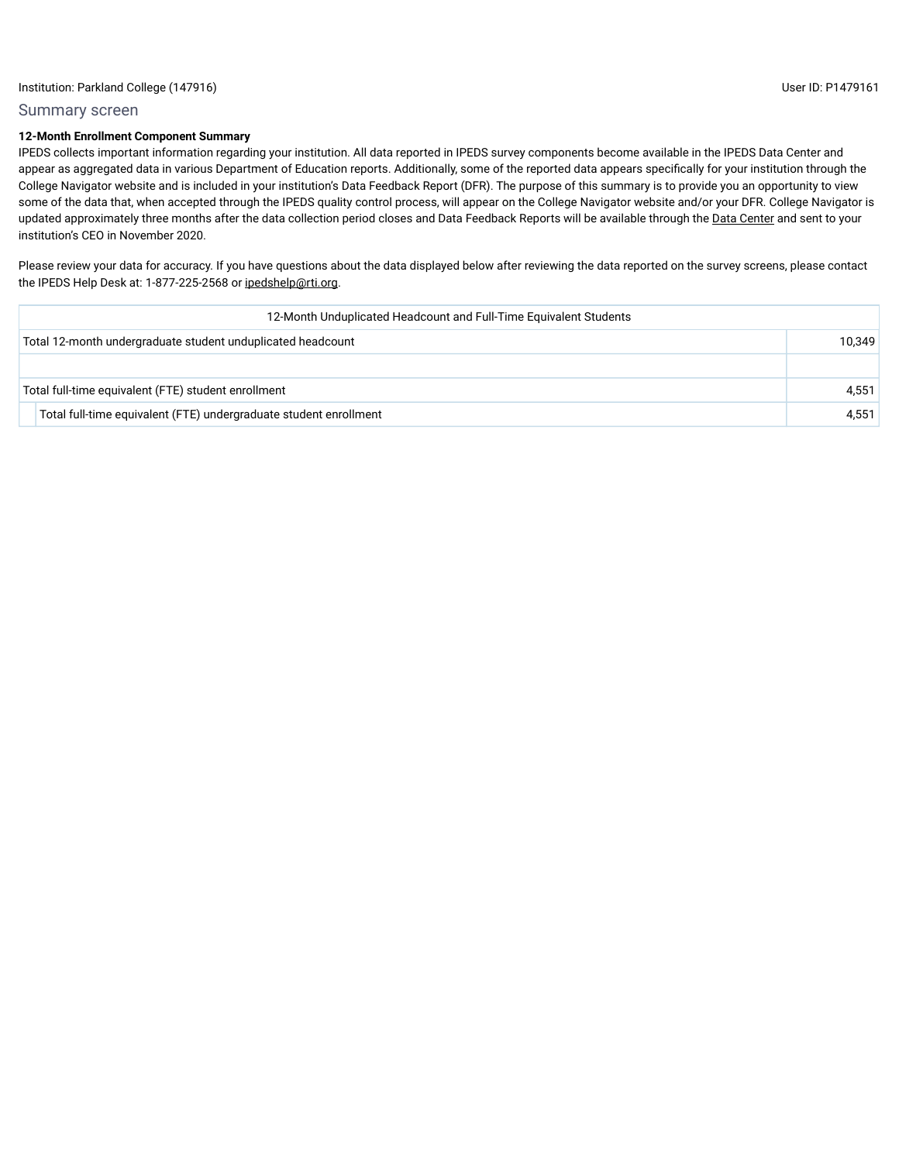#### Summary screen

# **12-Month Enrollment Component Summary**

IPEDS collects important information regarding your institution. All data reported in IPEDS survey components become available in the IPEDS Data Center and appear as aggregated data in various Department of Education reports. Additionally, some of the reported data appears specifically for your institution through the College Navigator website and is included in your institution's Data Feedback Report (DFR). The purpose of this summary is to provide you an opportunity to view some of the data that, when accepted through the IPEDS quality control process, will appear on the College Navigator website and/or your DFR. College Navigator is updated approximately three months after the data collection period closes and Data Feedback Reports will be available through the Data Center and sent to your institution's CEO in November 2020.

Please review your data for accuracy. If you have questions about the data displayed below after reviewing the data reported on the survey screens, please contact the IPEDS Help Desk at: 1-877-225-2568 or ipedshelp@rti.org.

| 12-Month Unduplicated Headcount and Full-Time Equivalent Students |        |
|-------------------------------------------------------------------|--------|
| Total 12-month undergraduate student unduplicated headcount       | 10.349 |
|                                                                   |        |
| Total full-time equivalent (FTE) student enrollment               | 4.551  |
| Total full-time equivalent (FTE) undergraduate student enrollment | 4.551  |